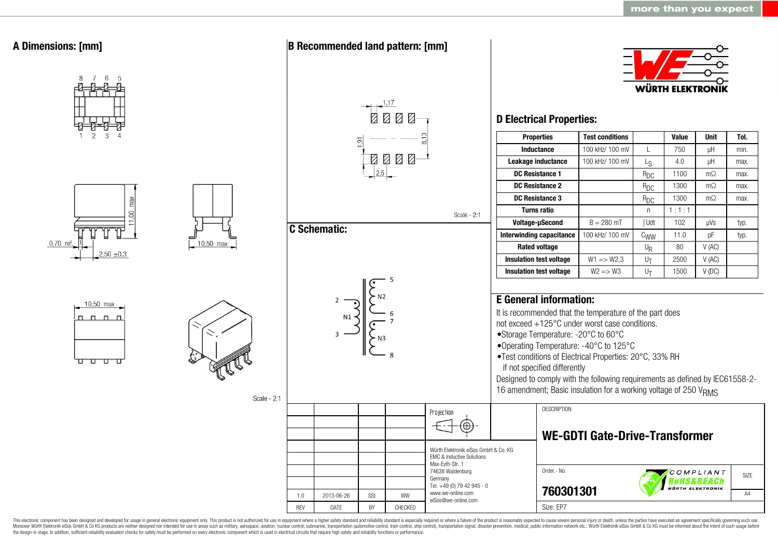

This electronic component has been designed and developed for usage in general electronic equipment only. This product is not authorized for use in equipment where a higher safety standard and reliability standard is espec Moreover Würth Elektronik eiSos GmbH & Co KG products are neither designed nor intended for use in areas such as military, aerospace, aviation, nuclear control, submarine, transportation (automotive control, ship control), the design-in stage. In addition, sufficient reliability evaluation checks for safety must be performed on every electronic component which is used in electrical circuits that require high safety and reliability functions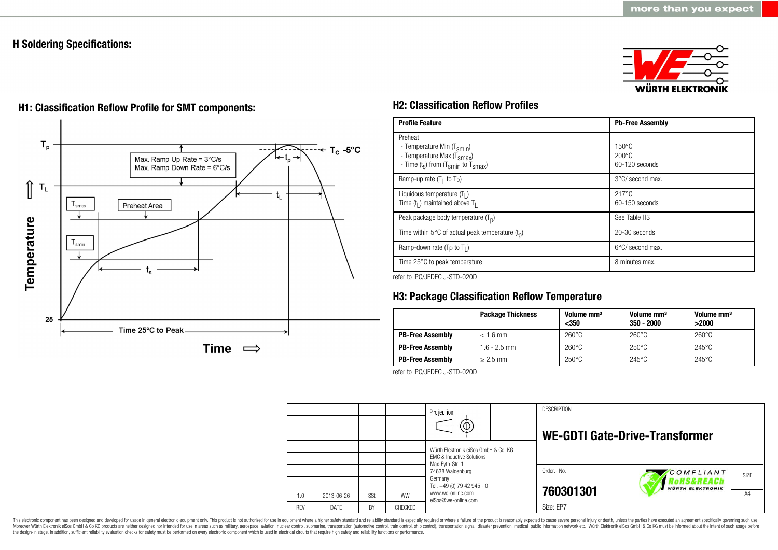# **H Soldering Specifications:**

25





Time 25°C to Peak

Time  $\implies$ 

# **H1: Classification Reflow Profile for SMT components: H2: Classification Reflow Profiles**

| <b>Profile Feature</b>                                                                                                                        | <b>Pb-Free Assembly</b>                             |  |  |
|-----------------------------------------------------------------------------------------------------------------------------------------------|-----------------------------------------------------|--|--|
| Preheat<br>- Temperature Min (T <sub>smin</sub> )<br>- Temperature Max (T <sub>Smax</sub> )<br>- Time $(t_s)$ from $(T_{smin}$ to $T_{smax})$ | $150^{\circ}$ C<br>$200\degree C$<br>60-120 seconds |  |  |
| Ramp-up rate $(T_1$ to $T_P$ )                                                                                                                | 3°C/ second max.                                    |  |  |
| Liquidous temperature $(T1)$<br>Time $(tl)$ maintained above T <sub>I</sub>                                                                   | $217^{\circ}$ C<br>60-150 seconds                   |  |  |
| Peak package body temperature $(Tp)$                                                                                                          | See Table H <sub>3</sub>                            |  |  |
| Time within 5°C of actual peak temperature $(t_n)$                                                                                            | 20-30 seconds                                       |  |  |
| Ramp-down rate $(T_P$ to $T_I$ )                                                                                                              | $6^{\circ}$ C/ second max.                          |  |  |
| Time 25°C to peak temperature                                                                                                                 | 8 minutes max.                                      |  |  |

refer to IPC/JEDEC J-STD-020D

# **H3: Package Classification Reflow Temperature**

|                         | <b>Package Thickness</b> | Volume mm <sup>3</sup><br>$350$ | Volume mm <sup>3</sup><br>350 - 2000 | Volume mm <sup>3</sup><br>>2000 |
|-------------------------|--------------------------|---------------------------------|--------------------------------------|---------------------------------|
| <b>PB-Free Assembly</b> | $< 1.6$ mm               | $260^{\circ}$ C                 | $260^{\circ}$ C                      | $260^{\circ}$ C                 |
| <b>PB-Free Assembly</b> | 1.6 - 2.5 mm             | $260^{\circ}$ C                 | $250^{\circ}$ C                      | $245^{\circ}$ C                 |
| <b>PB-Free Assembly</b> | $\geq$ 2.5 mm            | $250^{\circ}$ C                 | $245^{\circ}$ C                      | $245^{\circ}$ C                 |

refer to IPC/JEDEC J-STD-020D

|            |             |     |           | Projection<br>$\Theta$ )                                                                        |  | <b>DESCRIPTION</b> | WE-GDTI Gate-Drive-Transformer            |                  |
|------------|-------------|-----|-----------|-------------------------------------------------------------------------------------------------|--|--------------------|-------------------------------------------|------------------|
|            |             |     |           | Würth Elektronik eiSos GmbH & Co. KG<br><b>EMC &amp; Inductive Solutions</b><br>Max-Eyth-Str. 1 |  |                    |                                           |                  |
|            |             |     |           | 74638 Waldenburg<br>Germany                                                                     |  | Order .- No.       | COMPLIANT<br><i><b>loHS&amp;REACh</b></i> | SI <sub>7F</sub> |
| 1.0        | 2013-06-26  | SSt | <b>WW</b> | Tel. +49 (0) 79 42 945 - 0<br>www.we-online.com<br>eiSos@we-online.com                          |  | 760301301          | <b>WÜRTH ELEKTRONIK</b>                   | A4               |
| <b>REV</b> | <b>DATE</b> | BY  | CHECKED   |                                                                                                 |  | Size: EP7          |                                           |                  |

This electronic component has been designed and developed for usage in general electronic equipment only. This product is not authorized for use in equipment where a higher safety standard and reliability standard and reli Moreover Würth Elektronik eiSos GmbH & Co KG products are neither designed nor intended for use in areas such as military, aerospace, aviation, nuclear control, submarine, transportation (automotive control), stain control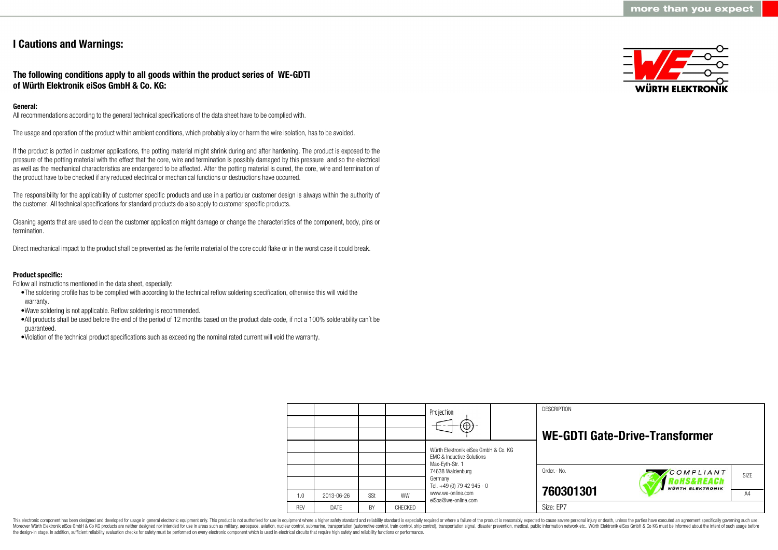# **I Cautions and Warnings:**

# **The following conditions apply to all goods within the product series of WE-GDTI of Würth Elektronik eiSos GmbH & Co. KG:**

# **General:**

All recommendations according to the general technical specifications of the data sheet have to be complied with.

The usage and operation of the product within ambient conditions, which probably alloy or harm the wire isolation, has to be avoided.

If the product is potted in customer applications, the potting material might shrink during and after hardening. The product is exposed to the pressure of the potting material with the effect that the core, wire and termination is possibly damaged by this pressure and so the electrical as well as the mechanical characteristics are endangered to be affected. After the potting material is cured, the core, wire and termination of the product have to be checked if any reduced electrical or mechanical functions or destructions have occurred.

The responsibility for the applicability of customer specific products and use in a particular customer design is always within the authority of the customer. All technical specifications for standard products do also apply to customer specific products.

Cleaning agents that are used to clean the customer application might damage or change the characteristics of the component, body, pins or termination.

Direct mechanical impact to the product shall be prevented as the ferrite material of the core could flake or in the worst case it could break.

## **Product specific:**

Follow all instructions mentioned in the data sheet, especially:

- •The soldering profile has to be complied with according to the technical reflow soldering specification, otherwise this will void the warranty.
- •Wave soldering is not applicable. Reflow soldering is recommended.
- •All products shall be used before the end of the period of 12 months based on the product date code, if not a 100% solderability can´t be guaranteed.
- •Violation of the technical product specifications such as exceeding the nominal rated current will void the warranty.



|            |             |     |           | Projection<br>$\circledast$                                                                     | <b>DESCRIPTION</b> | <b>WE-GDTI Gate-Drive-Transformer</b> |      |
|------------|-------------|-----|-----------|-------------------------------------------------------------------------------------------------|--------------------|---------------------------------------|------|
|            |             |     |           | Würth Elektronik eiSos GmbH & Co. KG<br><b>EMC &amp; Inductive Solutions</b><br>Max-Eyth-Str. 1 |                    |                                       |      |
|            |             |     |           | 74638 Waldenburg<br>Germany<br>Tel. +49 (0) 79 42 945 - 0                                       | Order.- No.        | COMPLIANT<br>oHS&REACh                | SIZE |
| 1.0        | 2013-06-26  | SSt | <b>WW</b> | www.we-online.com<br>eiSos@we-online.com                                                        | 760301301          | <b>WÜRTH ELEKTRONIK</b>               | A4   |
| <b>REV</b> | <b>DATE</b> | BY  | CHECKED   |                                                                                                 | Size: EP7          |                                       |      |

This electronic component has been designed and developed for usage in general electronic equipment only. This product is not authorized for use in equipment where a higher safety standard and reliability standard is espec Moreover Würth Elektronik eiSos GmbH & Co KG products are neither designed nor intended for use in areas such as military, aerospace, aviation, nuclear control, submarine, transportation (automotive control), tain control) the design-in stage. In addition, sufficient reliability evaluation checks for safety must be performed on every electronic component which is used in electrical circuits that require high safety and reliability functions